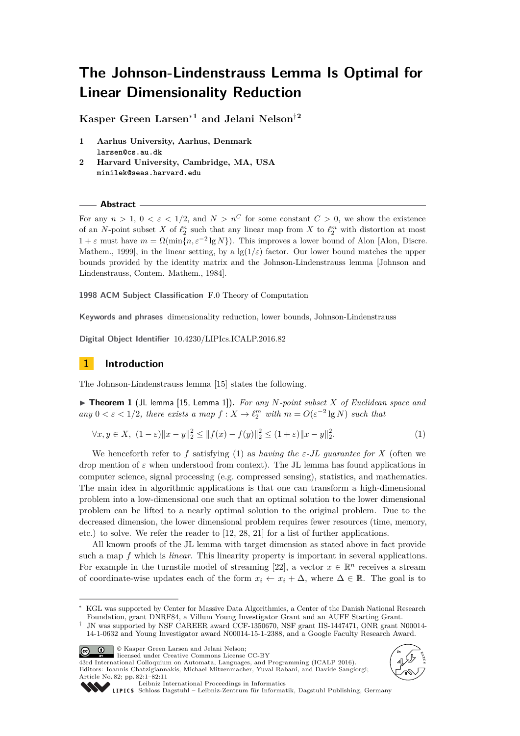# **The Johnson-Lindenstrauss Lemma Is Optimal for Linear Dimensionality Reduction**

**Kasper Green Larsen**<sup>∗</sup>**<sup>1</sup> and Jelani Nelson**†**<sup>2</sup>**

- **1 Aarhus University, Aarhus, Denmark larsen@cs.au.dk**
- **2 Harvard University, Cambridge, MA, USA minilek@seas.harvard.edu**

**Abstract**

For any  $n > 1$ ,  $0 < \varepsilon < 1/2$ , and  $N > n^C$  for some constant  $C > 0$ , we show the existence of an *N*-point subset *X* of  $\ell_2^n$  such that any linear map from *X* to  $\ell_2^m$  with distortion at most  $1 + \varepsilon$  must have  $m = \Omega(\min\{n, \varepsilon^{-2} \lg N\})$ . This improves a lower bound of Alon [Alon, Discre. Mathem., 1999], in the linear setting, by a  $\lg(1/\varepsilon)$  factor. Our lower bound matches the upper bounds provided by the identity matrix and the Johnson-Lindenstrauss lemma [Johnson and Lindenstrauss, Contem. Mathem., 1984].

**1998 ACM Subject Classification** F.0 Theory of Computation

**Keywords and phrases** dimensionality reduction, lower bounds, Johnson-Lindenstrauss

**Digital Object Identifier** [10.4230/LIPIcs.ICALP.2016.82](http://dx.doi.org/10.4230/LIPIcs.ICALP.2016.82)

# **1 Introduction**

The Johnson-Lindenstrauss lemma [\[15\]](#page-9-0) states the following.

▶ Theorem 1 (JL lemma [\[15,](#page-9-0) Lemma 1]). For any N-point subset X of Euclidean space and  $any\ 0 < \varepsilon < 1/2$ , there exists a map  $f: X \to \ell_2^m$  with  $m = O(\varepsilon^{-2} \lg N)$  such that

$$
\forall x, y \in X, \ (1 - \varepsilon) \|x - y\|_2^2 \le \|f(x) - f(y)\|_2^2 \le (1 + \varepsilon) \|x - y\|_2^2. \tag{1}
$$

We henceforth refer to f satisfying [\(1\)](#page-0-0) as *having the*  $\varepsilon$ -*JL* guarantee for X (often we drop mention of *ε* when understood from context). The JL lemma has found applications in computer science, signal processing (e.g. compressed sensing), statistics, and mathematics. The main idea in algorithmic applications is that one can transform a high-dimensional problem into a low-dimensional one such that an optimal solution to the lower dimensional problem can be lifted to a nearly optimal solution to the original problem. Due to the decreased dimension, the lower dimensional problem requires fewer resources (time, memory, etc.) to solve. We refer the reader to [\[12,](#page-9-1) [28,](#page-10-0) [21\]](#page-10-1) for a list of further applications.

All known proofs of the JL lemma with target dimension as stated above in fact provide such a map *f* which is *linear*. This linearity property is important in several applications. For example in the turnstile model of streaming [\[22\]](#page-10-2), a vector  $x \in \mathbb{R}^n$  receives a stream of coordinate-wise updates each of the form  $x_i \leftarrow x_i + \Delta$ , where  $\Delta \in \mathbb{R}$ . The goal is to

<sup>†</sup> JN was supported by NSF CAREER award CCF-1350670, NSF grant IIS-1447471, ONR grant N00014- 14-1-0632 and Young Investigator award N00014-15-1-2388, and a Google Faculty Research Award.



© Kasper Green Larsen and Jelani Nelson;

licensed under Creative Commons License CC-BY 43rd International Colloquium on Automata, Languages, and Programming (ICALP 2016). Editors: Ioannis Chatzigiannakis, Michael Mitzenmacher, Yuval Rabani, and Davide Sangiorgi;

<span id="page-0-0"></span>

Article No. 82; pp. 82:1–82[:11](#page-10-3) [Leibniz International Proceedings in Informatics](http://www.dagstuhl.de/lipics/)

[Schloss Dagstuhl – Leibniz-Zentrum für Informatik, Dagstuhl Publishing, Germany](http://www.dagstuhl.de)

KGL was supported by Center for Massive Data Algorithmics, a Center of the Danish National Research Foundation, grant DNRF84, a Villum Young Investigator Grant and an AUFF Starting Grant.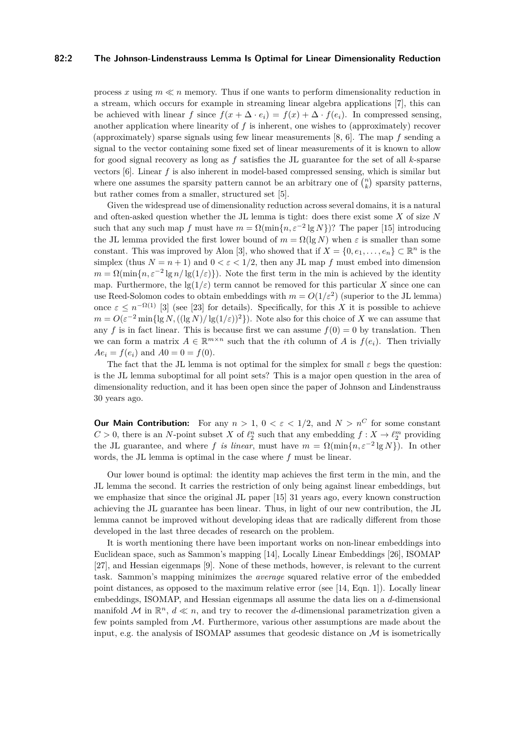### **82:2 The Johnson-Lindenstrauss Lemma Is Optimal for Linear Dimensionality Reduction**

process x using  $m \ll n$  memory. Thus if one wants to perform dimensionality reduction in a stream, which occurs for example in streaming linear algebra applications [\[7\]](#page-9-2), this can be achieved with linear *f* since  $f(x + \Delta \cdot e_i) = f(x) + \Delta \cdot f(e_i)$ . In compressed sensing, another application where linearity of *f* is inherent, one wishes to (approximately) recover (approximately) sparse signals using few linear measurements [\[8,](#page-9-3) [6\]](#page-9-4). The map *f* sending a signal to the vector containing some fixed set of linear measurements of it is known to allow for good signal recovery as long as *f* satisfies the JL guarantee for the set of all *k*-sparse vectors [\[6\]](#page-9-4). Linear *f* is also inherent in model-based compressed sensing, which is similar but where one assumes the sparsity pattern cannot be an arbitrary one of  $\binom{n}{k}$  sparsity patterns, but rather comes from a smaller, structured set [\[5\]](#page-9-5).

Given the widespread use of dimensionality reduction across several domains, it is a natural and often-asked question whether the JL lemma is tight: does there exist some *X* of size *N* such that any such map *f* must have  $m = \Omega(\min\{n, \varepsilon^{-2} \lg N\})$ ? The paper [\[15\]](#page-9-0) introducing the JL lemma provided the first lower bound of  $m = \Omega(\lg N)$  when  $\varepsilon$  is smaller than some constant. This was improved by Alon [\[3\]](#page-9-6), who showed that if  $X = \{0, e_1, \ldots, e_n\} \subset \mathbb{R}^n$  is the simplex (thus  $N = n + 1$ ) and  $0 < \varepsilon < 1/2$ , then any JL map f must embed into dimension  $m = \Omega(\min\{n, \varepsilon^{-2} \lg n / \lg(1/\varepsilon)\})$ . Note the first term in the min is achieved by the identity map. Furthermore, the  $\lg(1/\varepsilon)$  term cannot be removed for this particular X since one can use Reed-Solomon codes to obtain embeddings with  $m = O(1/\varepsilon^2)$  (superior to the JL lemma) once  $\varepsilon \leq n^{-\Omega(1)}$  [\[3\]](#page-9-6) (see [\[23\]](#page-10-4) for details). Specifically, for this *X* it is possible to achieve  $m = O(\varepsilon^{-2} \min{\{\lg N, ((\lg N)/\lg(1/\varepsilon))^2\}}).$  Note also for this choice of *X* we can assume that any *f* is in fact linear. This is because first we can assume  $f(0) = 0$  by translation. Then we can form a matrix  $A \in \mathbb{R}^{m \times n}$  such that the *i*th column of *A* is  $f(e_i)$ . Then trivially  $Ae_i = f(e_i)$  and  $A0 = 0 = f(0)$ .

The fact that the JL lemma is not optimal for the simplex for small  $\varepsilon$  begs the question: is the JL lemma suboptimal for all point sets? This is a major open question in the area of dimensionality reduction, and it has been open since the paper of Johnson and Lindenstrauss 30 years ago.

**Our Main Contribution:** For any  $n > 1$ ,  $0 < \varepsilon < 1/2$ , and  $N > n^C$  for some constant  $C > 0$ , there is an *N*-point subset *X* of  $\ell_2^n$  such that any embedding  $f: X \to \ell_2^m$  providing the JL guarantee, and where *f is linear*, must have  $m = \Omega(\min\{n, \varepsilon^{-2} \lg N\})$ . In other words, the JL lemma is optimal in the case where *f* must be linear.

Our lower bound is optimal: the identity map achieves the first term in the min, and the JL lemma the second. It carries the restriction of only being against linear embeddings, but we emphasize that since the original JL paper [\[15\]](#page-9-0) 31 years ago, every known construction achieving the JL guarantee has been linear. Thus, in light of our new contribution, the JL lemma cannot be improved without developing ideas that are radically different from those developed in the last three decades of research on the problem.

It is worth mentioning there have been important works on non-linear embeddings into Euclidean space, such as Sammon's mapping [\[14\]](#page-9-7), Locally Linear Embeddings [\[26\]](#page-10-5), ISOMAP [\[27\]](#page-10-6), and Hessian eigenmaps [\[9\]](#page-9-8). None of these methods, however, is relevant to the current task. Sammon's mapping minimizes the *average* squared relative error of the embedded point distances, as opposed to the maximum relative error (see [\[14,](#page-9-7) Eqn. 1]). Locally linear embeddings, ISOMAP, and Hessian eigenmaps all assume the data lies on a *d*-dimensional manifold M in  $\mathbb{R}^n$ ,  $d \ll n$ , and try to recover the *d*-dimensional parametrization given a few points sampled from M. Furthermore, various other assumptions are made about the input, e.g. the analysis of ISOMAP assumes that geodesic distance on  $\mathcal M$  is isometrically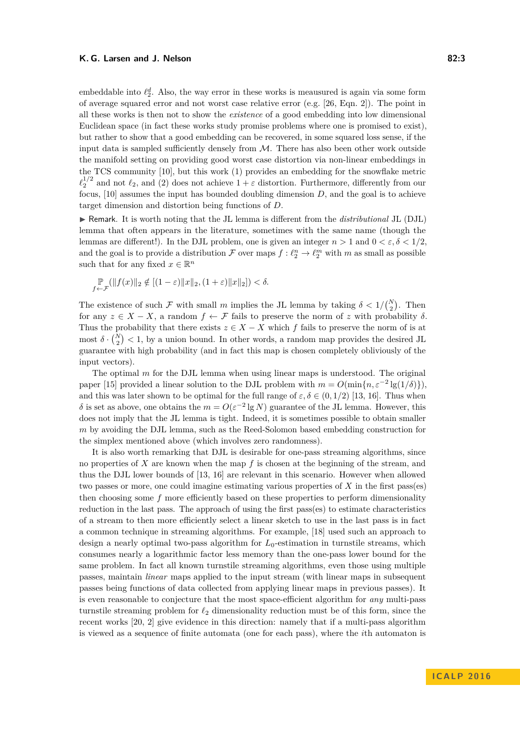embeddable into  $\ell_2^d$ . Also, the way error in these works is meausured is again via some form of average squared error and not worst case relative error (e.g. [\[26,](#page-10-5) Eqn. 2]). The point in all these works is then not to show the *existence* of a good embedding into low dimensional Euclidean space (in fact these works study promise problems where one is promised to exist), but rather to show that a good embedding can be recovered, in some squared loss sense, if the input data is sampled sufficiently densely from  $M$ . There has also been other work outside the manifold setting on providing good worst case distortion via non-linear embeddings in the TCS community [\[10\]](#page-9-9), but this work (1) provides an embedding for the snowflake metric  $\ell_2^{1/2}$  and not  $\ell_2$ , and (2) does not achieve  $1 + \varepsilon$  distortion. Furthermore, differently from our focus, [\[10\]](#page-9-9) assumes the input has bounded doubling dimension *D*, and the goal is to achieve target dimension and distortion being functions of *D*.

I Remark. It is worth noting that the JL lemma is different from the *distributional* JL (DJL) lemma that often appears in the literature, sometimes with the same name (though the lemmas are different!). In the DJL problem, one is given an integer  $n > 1$  and  $0 < \varepsilon, \delta < 1/2$ . and the goal is to provide a distribution  $\mathcal F$  over maps  $f: \ell_2^n \to \ell_2^m$  with  $m$  as small as possible such that for any fixed  $x \in \mathbb{R}^n$ 

$$
\underset{f \leftarrow \mathcal{F}}{\mathbb{P}}(\|f(x)\|_2 \notin [(1-\varepsilon)\|x\|_2, (1+\varepsilon)\|x\|_2]) < \delta.
$$

The existence of such  $\mathcal F$  with small  $m$  implies the JL lemma by taking  $\delta < 1/{N \choose 2}$ . Then for any  $z \in X - X$ , a random  $f \leftarrow \mathcal{F}$  fails to preserve the norm of *z* with probability  $\delta$ . Thus the probability that there exists  $z \in X - X$  which *f* fails to preserve the norm of is at most  $\delta \cdot {N \choose 2} < 1$ , by a union bound. In other words, a random map provides the desired JL guarantee with high probability (and in fact this map is chosen completely obliviously of the input vectors).

The optimal *m* for the DJL lemma when using linear maps is understood. The original paper [\[15\]](#page-9-0) provided a linear solution to the DJL problem with  $m = O(\min\{n, \varepsilon^{-2} \lg(1/\delta)\})$ , and this was later shown to be optimal for the full range of  $\varepsilon, \delta \in (0, 1/2)$  [\[13,](#page-9-10) [16\]](#page-9-11). Thus when *δ* is set as above, one obtains the *m* =  $O(ε^{-2}$  lg *N*) guarantee of the JL lemma. However, this does not imply that the JL lemma is tight. Indeed, it is sometimes possible to obtain smaller *m* by avoiding the DJL lemma, such as the Reed-Solomon based embedding construction for the simplex mentioned above (which involves zero randomness).

It is also worth remarking that DJL is desirable for one-pass streaming algorithms, since no properties of *X* are known when the map *f* is chosen at the beginning of the stream, and thus the DJL lower bounds of [\[13,](#page-9-10) [16\]](#page-9-11) are relevant in this scenario. However when allowed two passes or more, one could imagine estimating various properties of *X* in the first pass(es) then choosing some *f* more efficiently based on these properties to perform dimensionality reduction in the last pass. The approach of using the first pass(es) to estimate characteristics of a stream to then more efficiently select a linear sketch to use in the last pass is in fact a common technique in streaming algorithms. For example, [\[18\]](#page-9-12) used such an approach to design a nearly optimal two-pass algorithm for  $L_0$ -estimation in turnstile streams, which consumes nearly a logarithmic factor less memory than the one-pass lower bound for the same problem. In fact all known turnstile streaming algorithms, even those using multiple passes, maintain *linear* maps applied to the input stream (with linear maps in subsequent passes being functions of data collected from applying linear maps in previous passes). It is even reasonable to conjecture that the most space-efficient algorithm for *any* multi-pass turnstile streaming problem for  $\ell_2$  dimensionality reduction must be of this form, since the recent works [\[20,](#page-9-13) [2\]](#page-9-14) give evidence in this direction: namely that if a multi-pass algorithm is viewed as a sequence of finite automata (one for each pass), where the *i*th automaton is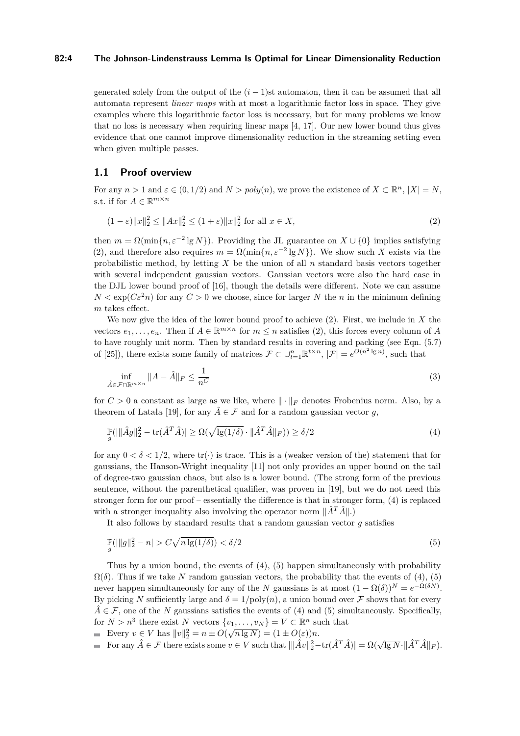## **82:4 The Johnson-Lindenstrauss Lemma Is Optimal for Linear Dimensionality Reduction**

generated solely from the output of the  $(i - 1)$ st automaton, then it can be assumed that all automata represent *linear maps* with at most a logarithmic factor loss in space. They give examples where this logarithmic factor loss is necessary, but for many problems we know that no loss is necessary when requiring linear maps [\[4,](#page-9-15) [17\]](#page-9-16). Our new lower bound thus gives evidence that one cannot improve dimensionality reduction in the streaming setting even when given multiple passes.

## **1.1 Proof overview**

For any  $n > 1$  and  $\varepsilon \in (0, 1/2)$  and  $N > poly(n)$ , we prove the existence of  $X \subset \mathbb{R}^n$ ,  $|X| = N$ , s.t. if for  $A \in \mathbb{R}^{m \times n}$ 

<span id="page-3-0"></span>
$$
(1 - \varepsilon) \|x\|_2^2 \le \|Ax\|_2^2 \le (1 + \varepsilon) \|x\|_2^2 \text{ for all } x \in X,
$$
\n(2)

then  $m = \Omega(\min\{n, \varepsilon^{-2} \lg N\})$ . Providing the JL guarantee on  $X \cup \{0\}$  implies satisfying [\(2\)](#page-3-0), and therefore also requires  $m = \Omega(\min\{n, \varepsilon^{-2} \lg N\})$ . We show such X exists via the probabilistic method, by letting *X* be the union of all *n* standard basis vectors together with several independent gaussian vectors. Gaussian vectors were also the hard case in the DJL lower bound proof of [\[16\]](#page-9-11), though the details were different. Note we can assume  $N < \exp(C\varepsilon^2 n)$  for any  $C > 0$  we choose, since for larger *N* the *n* in the minimum defining *m* takes effect.

We now give the idea of the lower bound proof to achieve [\(2\)](#page-3-0). First, we include in *X* the vectors  $e_1, \ldots, e_n$ . Then if  $A \in \mathbb{R}^{m \times n}$  for  $m \leq n$  satisfies [\(2\)](#page-3-0), this forces every column of *A* to have roughly unit norm. Then by standard results in covering and packing (see Eqn. (5.7) of [\[25\]](#page-10-7)), there exists some family of matrices  $\mathcal{F} \subset \bigcup_{t=1}^{n} \mathbb{R}^{t \times n}$ ,  $|\mathcal{F}| = e^{O(n^2 \lg n)}$ , such that

<span id="page-3-3"></span>
$$
\inf_{\hat{A}\in\mathcal{F}\cap\mathbb{R}^{m\times n}}\|A-\hat{A}\|_{F}\leq\frac{1}{n^{C}}\tag{3}
$$

for  $C > 0$  a constant as large as we like, where  $\|\cdot\|_F$  denotes Frobenius norm. Also, by a theorem of Latała [\[19\]](#page-9-17), for any  $\hat{A} \in \mathcal{F}$  and for a random gaussian vector *q*,

<span id="page-3-1"></span>
$$
\mathbb{P}(|\|\hat{A}g\|_2^2 - \text{tr}(\hat{A}^T\hat{A})| \ge \Omega(\sqrt{\lg(1/\delta)} \cdot \|\hat{A}^T\hat{A}\|_F)) \ge \delta/2
$$
\n(4)

for any  $0 < \delta < 1/2$ , where tr(·) is trace. This is a (weaker version of the) statement that for gaussians, the Hanson-Wright inequality [\[11\]](#page-9-18) not only provides an upper bound on the tail of degree-two gaussian chaos, but also is a lower bound. (The strong form of the previous sentence, without the parenthetical qualifier, was proven in [\[19\]](#page-9-17), but we do not need this stronger form for our proof – essentially the difference is that in stronger form, [\(4\)](#page-3-1) is replaced with a stronger inequality also involving the operator norm  $\|\hat{A}^T\hat{A}\|$ .)

It also follows by standard results that a random gaussian vector *g* satisfies

<span id="page-3-2"></span>
$$
\mathbb{P}(|\|g\|_2^2 - n| > C\sqrt{n\lg(1/\delta)} < \delta/2 \tag{5}
$$

Thus by a union bound, the events of [\(4\)](#page-3-1), [\(5\)](#page-3-2) happen simultaneously with probability  $\Omega(\delta)$ . Thus if we take N random gaussian vectors, the probability that the events of [\(4\)](#page-3-1), [\(5\)](#page-3-2) never happen simultaneously for any of the *N* gaussians is at most  $(1 - \Omega(\delta))^N = e^{-\Omega(\delta N)}$ . By picking *N* sufficiently large and  $\delta = 1/\text{poly}(n)$ , a union bound over *F* shows that for every  $\hat{A} \in \mathcal{F}$ , one of the *N* gaussians satisfies the events of [\(4\)](#page-3-1) and [\(5\)](#page-3-2) simultaneously. Specifically, for  $N > n^3$  there exist  $N$  vectors  $\{v_1, \ldots, v_N\} = V \subset \mathbb{R}^n$  such that

Every  $v \in V$  has  $||v||_2^2 = n \pm O(\sqrt{n \lg N}) = (1 \pm O(\varepsilon))n$ .

For any  $\hat{A} \in \mathcal{F}$  there exists some  $v \in V$  such that  $\|\hat{A}v\|_2^2 - \text{tr}(\hat{A}^T\hat{A}) = \Omega(\sqrt{\lg N} \cdot \|\hat{A}^T\hat{A}\|_F)$ .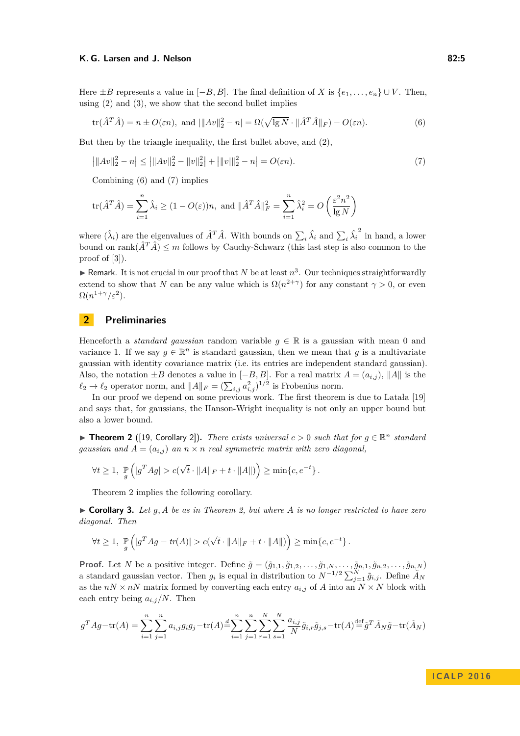Here  $\pm B$  represents a value in  $[-B, B]$ . The final definition of *X* is  $\{e_1, \ldots, e_n\} \cup V$ . Then, using  $(2)$  and  $(3)$ , we show that the second bullet implies

<span id="page-4-1"></span><span id="page-4-0"></span>
$$
\text{tr}(\hat{A}^T \hat{A}) = n \pm O(\varepsilon n), \text{ and } ||A v||_2^2 - n| = \Omega(\sqrt{\lg N} \cdot ||\hat{A}^T \hat{A}||_F) - O(\varepsilon n). \tag{6}
$$

But then by the triangle inequality, the first bullet above, and [\(2\)](#page-3-0),

$$
\left| \|Av\|_2^2 - n \right| \le \left| \|Av\|_2^2 - \|v\|_2^2 \right| + \left| \|v\|_2^2 - n \right| = O(\varepsilon n). \tag{7}
$$

Combining [\(6\)](#page-4-0) and [\(7\)](#page-4-1) implies

$$
\text{tr}(\hat{A}^T \hat{A}) = \sum_{i=1}^n \hat{\lambda}_i \ge (1 - O(\varepsilon))n, \text{ and } \|\hat{A}^T \hat{A}\|_F^2 = \sum_{i=1}^n \hat{\lambda}_i^2 = O\left(\frac{\varepsilon^2 n^2}{\lg N}\right)
$$

where  $(\hat{\lambda}_i)$  are the eigenvalues of  $\hat{A}^T \hat{A}$ . With bounds on  $\sum_i \hat{\lambda}_i$  and  $\sum_i \hat{\lambda}_i$  $2$  in hand, a lower bound on rank $(\hat{A}^T\hat{A}) \leq m$  follows by Cauchy-Schwarz (this last step is also common to the proof of [\[3\]](#page-9-6)).

 $\blacktriangleright$  Remark. It is not crucial in our proof that *N* be at least  $n^3$ . Our techniques straightforwardly extend to show that *N* can be any value which is  $\Omega(n^{2+\gamma})$  for any constant  $\gamma > 0$ , or even  $\Omega(n^{1+\gamma}/\varepsilon^2)$ .

# **2 Preliminaries**

Henceforth a *standard gaussian* random variable  $q \in \mathbb{R}$  is a gaussian with mean 0 and variance 1. If we say  $g \in \mathbb{R}^n$  is standard gaussian, then we mean that *g* is a multivariate gaussian with identity covariance matrix (i.e. its entries are independent standard gaussian). Also, the notation  $\pm B$  denotes a value in  $[-B, B]$ . For a real matrix  $A = (a_{i,j})$ ,  $||A||$  is the  $\ell_2 \to \ell_2$  operator norm, and  $||A||_F = (\sum_{i,j} a_{i,j}^2)^{1/2}$  is Frobenius norm.

In our proof we depend on some previous work. The first theorem is due to Latała [\[19\]](#page-9-17) and says that, for gaussians, the Hanson-Wright inequality is not only an upper bound but also a lower bound.

<span id="page-4-2"></span>**Findmergeright 2** ([\[19,](#page-9-17) Corollary 2]). *There exists universal*  $c > 0$  *such that for*  $g \in \mathbb{R}^n$  *standard gaussian and*  $A = (a_{i,j})$  *an*  $n \times n$  *real symmetric matrix with zero diagonal,* 

$$
\forall t \geq 1, \ \mathop{\mathbb{P}}_g \left( |g^T A g| > c(\sqrt{t} \cdot ||A||_F + t \cdot ||A||) \right) \geq \min\{c, e^{-t}\}.
$$

Theorem [2](#page-4-2) implies the following corollary.

<span id="page-4-3"></span> $\triangleright$  **Corollary 3.** Let g, A be as in Theorem [2,](#page-4-2) but where A is no longer restricted to have zero *diagonal. Then*

$$
\forall t \geq 1, \ \mathop{\mathbb{P}}_g \left( |g^T A g - \text{tr}(A)| > c(\sqrt{t} \cdot ||A||_F + t \cdot ||A||) \right) \geq \min\{c, e^{-t}\}.
$$

**Proof.** Let N be a positive integer. Define  $\tilde{g} = (\tilde{g}_{1,1}, \tilde{g}_{1,2}, \ldots, \tilde{g}_{1,N}, \ldots, \tilde{g}_{n,1}, \tilde{g}_{n,2}, \ldots, \tilde{g}_{n,N})$ a standard gaussian vector. Then  $g_i$  is equal in distribution to  $N^{-1/2} \sum_{j=1}^N \tilde{g}_{i,j}$ . Define  $\tilde{A}_N$ as the  $nN \times nN$  matrix formed by converting each entry  $a_{i,j}$  of *A* into an  $N \times N$  block with each entry being  $a_{i,j}/N$ . Then

$$
g^T A g - \text{tr}(A) = \sum_{i=1}^n \sum_{j=1}^n a_{i,j} g_i g_j - \text{tr}(A) = \sum_{i=1}^n \sum_{j=1}^n \sum_{r=1}^N \sum_{s=1}^N \frac{a_{i,j}}{N} \tilde{g}_{i,r} \tilde{g}_{j,s} - \text{tr}(A) = \tilde{g}^T \tilde{A}_N \tilde{g} - \text{tr}(\tilde{A}_N)
$$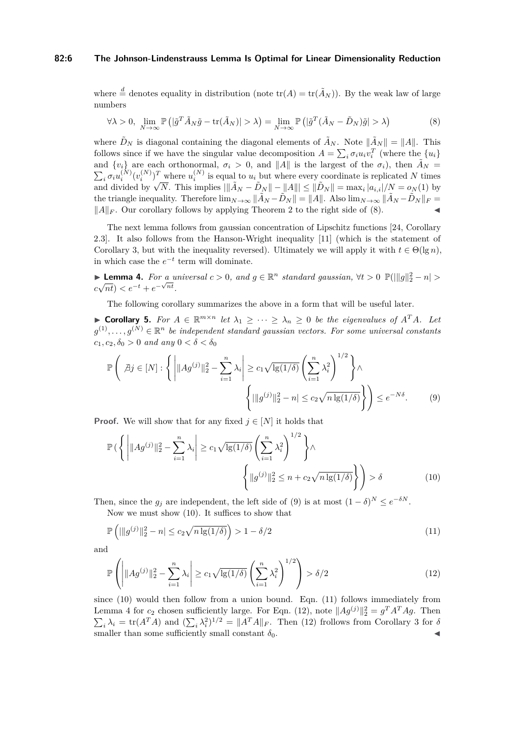#### **82:6 The Johnson-Lindenstrauss Lemma Is Optimal for Linear Dimensionality Reduction**

where  $\stackrel{d}{=}$  denotes equality in distribution (note  $tr(A) = tr(\tilde{A}_N)$ ). By the weak law of large numbers

<span id="page-5-0"></span>
$$
\forall \lambda > 0, \ \lim_{N \to \infty} \mathbb{P}\left( |\tilde{g}^T \tilde{A}_N \tilde{g} - \text{tr}(\tilde{A}_N)| > \lambda \right) = \lim_{N \to \infty} \mathbb{P}\left( |\tilde{g}^T (\tilde{A}_N - \tilde{D}_N) \tilde{g}| > \lambda \right) \tag{8}
$$

where  $\tilde{D}_N$  is diagonal containing the diagonal elements of  $\tilde{A}_N$ . Note  $\|\tilde{A}_N\| = \|A\|$ . This follows since if we have the singular value decomposition  $A = \sum_i \sigma_i u_i v_i^T$  (where the  $\{u_i\}$ and  $\{v_i\}$  are each orthonormal,  $\sigma_i > 0$ , and  $||A||$  is the largest of the  $\sigma_i$ ), then  $\tilde{A}_N =$  $\sum_i \sigma_i u_i^{(N)} (v_i^{(N)})^T$  where  $u_i^{(N)}$  is equal to  $u_i$  but where every coordinate is replicated N times and divided by  $\sqrt{N}$ . This implies  $\|\tilde{A}_N - \tilde{D}_N\| - \|A\| \le \|\tilde{D}_N\| = \max_i |a_{i,i}|/N = o_N(1)$  by the triangle inequality. Therefore  $\lim_{N\to\infty} \|\tilde{A}_N - \tilde{D}_N\| = \|A\|$ . Also  $\lim_{N\to\infty} \|\tilde{A}_N - \tilde{D}_N\|_F =$  $||A||_F$ . Our corollary follows by applying Theorem [2](#page-4-2) to the right side of [\(8\)](#page-5-0).

The next lemma follows from gaussian concentration of Lipschitz functions [\[24,](#page-10-8) Corollary 2.3]. It also follows from the Hanson-Wright inequality [\[11\]](#page-9-18) (which is the statement of Corollary [3,](#page-4-3) but with the inequality reversed). Ultimately we will apply it with  $t \in \Theta(\lg n)$ , in which case the  $e^{-t}$  term will dominate.

<span id="page-5-4"></span>**► Lemma 4.** For a universal  $c > 0$ , and  $g \in \mathbb{R}^n$  standard gaussian,  $\forall t > 0$   $\mathbb{P}(\Vert g \Vert_2^2 - n \Vert >$  $c\sqrt{nt}$ ) <  $e^{-t} + e^{-\sqrt{nt}}$ .

The following corollary summarizes the above in a form that will be useful later.

<span id="page-5-6"></span>► **Corollary 5.** *For*  $A \in \mathbb{R}^{m \times n}$  *let*  $\lambda_1 \geq \cdots \geq \lambda_n \geq 0$  *be the eigenvalues of*  $A^T A$ *. Let*  $g^{(1)}, \ldots, g^{(N)} \in \mathbb{R}^n$  *be independent standard gaussian vectors. For some universal constants*  $c_1, c_2, \delta_0 > 0$  *and any*  $0 < \delta < \delta_0$ 

<span id="page-5-1"></span>
$$
\mathbb{P}\left(\left|\beta j\in[N]:\left\{\left|\|Ag^{(j)}\|_{2}^{2}-\sum_{i=1}^{n}\lambda_{i}\right|\geq c_{1}\sqrt{\lg(1/\delta)}\left(\sum_{i=1}^{n}\lambda_{i}^{2}\right)^{1/2}\right\}\wedge\left\{\left|\|g^{(j)}\|_{2}^{2}-n\right|\leq c_{2}\sqrt{n\lg(1/\delta)}\right\}\right)\leq e^{-N\delta}.\tag{9}
$$

**Proof.** We will show that for any fixed  $j \in [N]$  it holds that

<span id="page-5-2"></span>
$$
\mathbb{P}\left(\left\{\left|\|Ag^{(j)}\|_{2}^{2}-\sum_{i=1}^{n}\lambda_{i}\right|\geq c_{1}\sqrt{\lg(1/\delta)}\left(\sum_{i=1}^{n}\lambda_{i}^{2}\right)^{1/2}\right\}\wedge\left\{\|g^{(j)}\|_{2}^{2}\leq n+c_{2}\sqrt{n\lg(1/\delta)}\right\}\right)>\delta
$$
\n(10)

Then, since the  $g_j$  are independent, the left side of [\(9\)](#page-5-1) is at most  $(1 - \delta)^N \le e^{-\delta N}$ .

Now we must show [\(10\)](#page-5-2). It suffices to show that

<span id="page-5-3"></span>
$$
\mathbb{P}\left(||g^{(j)}||_2^2 - n| \le c_2 \sqrt{n \lg(1/\delta)}\right) > 1 - \delta/2\tag{11}
$$

and

<span id="page-5-5"></span>
$$
\mathbb{P}\left(\left|\|Ag^{(j)}\|_{2}^{2} - \sum_{i=1}^{n} \lambda_{i}\right| \geq c_{1}\sqrt{\lg(1/\delta)} \left(\sum_{i=1}^{n} \lambda_{i}^{2}\right)^{1/2}\right) > \delta/2\tag{12}
$$

since [\(10\)](#page-5-2) would then follow from a union bound. Eqn. [\(11\)](#page-5-3) follows immediately from Lemma [4](#page-5-4) for  $c_2$  chosen sufficiently large. For Eqn. [\(12\)](#page-5-5), note  $||Ag^{(j)}||_2^2 = g^T A^T A g$ . Then  $\sum_i \lambda_i = \text{tr}(A^T A)$  and  $(\sum_i \lambda_i^2)^{1/2} = ||A^T A||_F$ . Then [\(12\)](#page-5-5) frollows from Corollary [3](#page-4-3) for *δ* smaller than some sufficiently small constant  $\delta_0$ .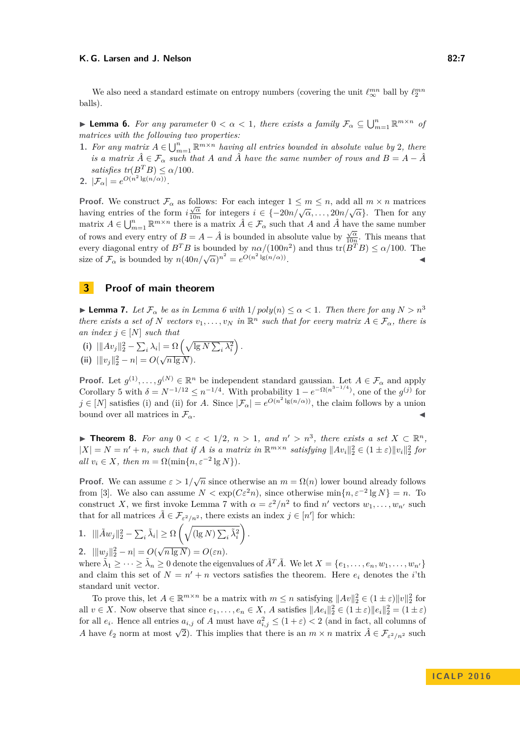We also need a standard estimate on entropy numbers (covering the unit  $\ell_{\infty}^{mn}$  ball by  $\ell_{2}^{mn}$ balls).

<span id="page-6-0"></span>**Example 1** Lemma 6. For any parameter  $0 < \alpha < 1$ , there exists a family  $\mathcal{F}_{\alpha} \subseteq \bigcup_{m=1}^{n} \mathbb{R}^{m \times n}$  of *matrices with the following two properties:*

- **1.** For any matrix  $A \in \bigcup_{m=1}^{n} \mathbb{R}^{m \times n}$  *having all entries bounded in absolute value by* 2*, there is a matrix*  $\hat{A} \in \mathcal{F}_{\alpha}$  *such that A and*  $\hat{A}$  *have the same number of rows and*  $B = A - \hat{A}$ *satisfies tr*( $B^T B$ )  $\leq \alpha/100$ *.*
- **2.**  $|\mathcal{F}_{\alpha}| = e^{O(n^2 \lg(n/\alpha))}.$

**Proof.** We construct  $\mathcal{F}_{\alpha}$  as follows: For each integer  $1 \leq m \leq n$ , add all  $m \times n$  matrices having entries of the form  $i\frac{\sqrt{\alpha}}{10n}$  $\frac{\sqrt{\alpha}}{10n}$  for integers  $i \in \{-20n/\sqrt{\alpha}, \ldots, 20n/\sqrt{\alpha}\}.$  Then for any matrix  $A \in \bigcup_{m=1}^n \mathbb{R}^{m \times n}$  there is a matrix  $\hat{A} \in \mathcal{F}_\alpha$  such that *A* and  $\hat{A}$  have the same number of rows and every entry of  $B = A - \hat{A}$  is bounded in absolute value by  $\frac{\sqrt{\alpha}}{10n}$  $\frac{\sqrt{\alpha}}{10n}$ . This means that every diagonal entry of  $B^T B$  is bounded by  $n\alpha/(100n^2)$  and thus  $\text{tr}(B^T B) \le \alpha/100$ . The size of  $\mathcal{F}_{\alpha}$  is bounded by  $n(40n/\sqrt{\alpha})^{n^2} = e^{O(n^2 \lg(n/\alpha))}$ . John Stein Stein Stein Stein Stein Stein Stein Stein Stein Stein Stein Stein Stein Stein Stein Stein Stein S<br>John Stein Stein Stein Stein Stein Stein Stein Stein Stein Stein Stein Stein Stein Stein Stein Stein Stein Ste

## **3 Proof of main theorem**

<span id="page-6-1"></span>**If Lemma 7.** Let  $\mathcal{F}_{\alpha}$  be as in Lemma [6](#page-6-0) with  $1/poly(n) \leq \alpha < 1$ . Then there for any  $N > n^3$ *there exists a set of N vectors*  $v_1, \ldots, v_N$  *in*  $\mathbb{R}^n$  *such that for every matrix*  $A \in \mathcal{F}_{\alpha}$ *, there is an index*  $j \in [N]$  *such that* 

- (i)  $\|\|Av_j\|_2^2 \sum_i \lambda_i\| = \Omega\left(\sqrt{\lg N} \sum_i \lambda_i^2\right).$
- (ii)  $\|v_j\|_2^2 n| = O(\sqrt{n \lg N}).$

**Proof.** Let  $g^{(1)}, \ldots, g^{(N)} \in \mathbb{R}^n$  be independent standard gaussian. Let  $A \in \mathcal{F}_\alpha$  and apply Corollary [5](#page-5-6) with  $\delta = N^{-1/12} \leq n^{-1/4}$ . With probability  $1 - e^{-\Omega(n^{3-1/4})}$ , one of the  $g^{(j)}$  for  $j \in [N]$  satisfies (i) and (ii) for *A*. Since  $|\mathcal{F}_{\alpha}| = e^{O(n^2 \lg(n/\alpha))}$ , the claim follows by a union bound over all matrices in  $\mathcal{F}_{\alpha}$ .

<span id="page-6-2"></span>**► Theorem 8.** For any  $0 < \varepsilon < 1/2$ ,  $n > 1$ , and  $n' > n^3$ , there exists a set  $X \subset \mathbb{R}^n$ ,  $|X| = N = n' + n$ , such that if *A* is a matrix in  $\mathbb{R}^{m \times n}$  satisfying  $||Av_i||_2^2 \in (1 \pm \varepsilon) ||v_i||_2^2$  for  $all v_i \in X$ *, then*  $m = \Omega(\min\{n, \varepsilon^{-2} \lg N\})$ .

**Proof.** We can assume  $\varepsilon > 1/\sqrt{n}$  since otherwise an  $m = \Omega(n)$  lower bound already follows from [\[3\]](#page-9-6). We also can assume  $N < \exp(C\varepsilon^2 n)$ , since otherwise  $\min\{n, \varepsilon^{-2} \lg N\} = n$ . To construct *X*, we first invoke Lemma [7](#page-6-1) with  $\alpha = \varepsilon^2/n^2$  to find  $n'$  vectors  $w_1, \ldots, w_{n'}$  such that for all matrices  $\tilde{A} \in \mathcal{F}_{\varepsilon^2/n^2}$ , there exists an index  $j \in [n']$  for which:

*.*

1. 
$$
\|\tilde{A}w_j\|_2^2 - \sum_i \tilde{\lambda}_i| \ge \Omega\left(\sqrt{(\lg N) \sum_i \tilde{\lambda}_i^2}\right)
$$
  
2. 
$$
\|w_j\|_2^2 - n| = O(\sqrt{n \lg N}) = O(\varepsilon n).
$$

where  $\tilde{\lambda}_1 \geq \cdots \geq \tilde{\lambda}_n \geq 0$  denote the eigenvalues of  $\tilde{A}^T \tilde{A}$ . We let  $X = \{e_1, \ldots, e_n, w_1, \ldots, w_{n'}\}$ and claim this set of  $N = n' + n$  vectors satisfies the theorem. Here  $e_i$  denotes the *i*'th standard unit vector.

To prove this, let  $A \in \mathbb{R}^{m \times n}$  be a matrix with  $m \leq n$  satisfying  $||Av||_2^2 \in (1 \pm \varepsilon) ||v||_2^2$  for all  $v \in X$ . Now observe that since  $e_1, \ldots, e_n \in X$ , *A* satisfies  $||Ae_i||_2^2 \in (1 \pm \varepsilon) ||e_i||_2^2 = (1 \pm \varepsilon)$ for all  $e_i$ . Hence all entries  $a_{i,j}$  of *A* must have  $a_{i,j}^2 \leq (1+\varepsilon) < 2$  (and in fact, all columns of *A* have  $\ell_2$  norm at most  $\sqrt{2}$ ). This implies that there is an  $m \times n$  matrix  $\hat{A} \in \mathcal{F}_{\varepsilon^2/n^2}$  such  $A$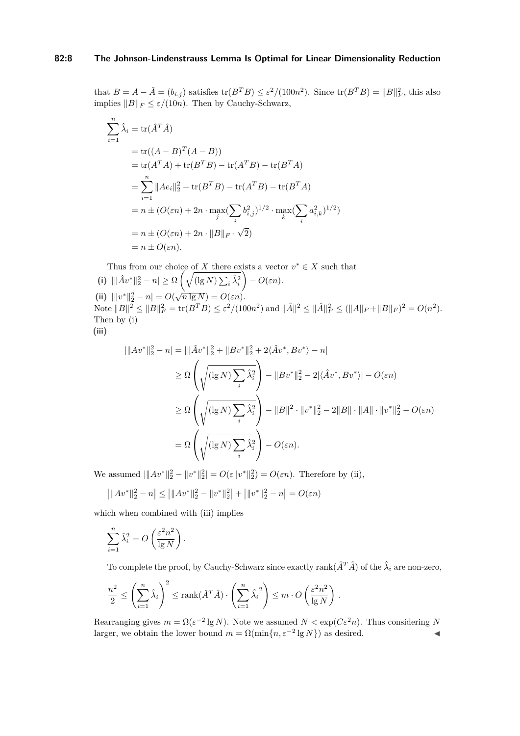## **82:8 The Johnson-Lindenstrauss Lemma Is Optimal for Linear Dimensionality Reduction**

that  $B = A - \hat{A} = (b_{i,j})$  satisfies  $\text{tr}(B^T B) \leq \varepsilon^2 / (100n^2)$ . Since  $\text{tr}(B^T B) = ||B||_F^2$ , this also implies  $||B||_F \leq \varepsilon/(10n)$ . Then by Cauchy-Schwarz,

$$
\sum_{i=1}^{n} \hat{\lambda}_{i} = \text{tr}(\hat{A}^{T}\hat{A})
$$
\n
$$
= \text{tr}((A - B)^{T}(A - B))
$$
\n
$$
= \text{tr}(A^{T}A) + \text{tr}(B^{T}B) - \text{tr}(A^{T}B) - \text{tr}(B^{T}A)
$$
\n
$$
= \sum_{i=1}^{n} ||Ae_{i}||_{2}^{2} + \text{tr}(B^{T}B) - \text{tr}(A^{T}B) - \text{tr}(B^{T}A)
$$
\n
$$
= n \pm (O(\varepsilon n) + 2n \cdot \max_{j} (\sum_{i} b_{i,j}^{2})^{1/2} \cdot \max_{k} (\sum_{i} a_{i,k}^{2})^{1/2})
$$
\n
$$
= n \pm (O(\varepsilon n) + 2n \cdot ||B||_{F} \cdot \sqrt{2})
$$
\n
$$
= n \pm O(\varepsilon n).
$$

Thus from our choice of *X* there exists a vector  $v^* \in X$  such that (i)  $\|\hat{A}v^*\|_2^2 - n \ge \Omega \left(\sqrt{\left(\lg N\right) \sum_i \hat{\lambda}_i^2}\right)$  $\bigg(-O(\varepsilon n)\bigg)$ . **(ii)**  $\|v^*\|_2^2 - n| = O(\sqrt{n \lg N}) = O(\varepsilon n).$  $\text{Note } ||B||^2 \le ||B||_F^2 = \text{tr}(B^T B) \le \varepsilon^2/(100n^2) \text{ and } ||\hat{A}||^2 \le ||\hat{A}||_F^2 \le (||A||_F + ||B||_F)^2 = O(n^2).$ Then by (i) **(iii)**

$$
\begin{aligned}\n||Av^*||_2^2 - n| &= |||\hat{A}v^*||_2^2 + \|Bv^*||_2^2 + 2\langle \hat{A}v^*, Bv^* \rangle - n| \\
&\ge \Omega \left( \sqrt{(\lg N) \sum_i \hat{\lambda}_i^2} \right) - \|Bv^*||_2^2 - 2|\langle \hat{A}v^*, Bv^* \rangle| - O(\varepsilon n) \\
&\ge \Omega \left( \sqrt{(\lg N) \sum_i \hat{\lambda}_i^2} \right) - \|B\|^2 \cdot \|v^*\|_2^2 - 2\|B\| \cdot \|A\| \cdot \|v^*\|_2^2 - O(\varepsilon n) \\
&= \Omega \left( \sqrt{(\lg N) \sum_i \hat{\lambda}_i^2} \right) - O(\varepsilon n).\n\end{aligned}
$$

We assumed  $\|Av^*\|_2^2 - \|v^*\|_2^2 = O(\varepsilon \|v^*\|_2^2) = O(\varepsilon n)$ . Therefore by (ii),

$$
\left| \|Av^*\|_2^2 - n \right| \le \left| \|Av^*\|_2^2 - \|v^*\|_2^2 \right| + \left| \|v^*\|_2^2 - n \right| = O(\varepsilon n)
$$

which when combined with (iii) implies

$$
\sum_{i=1}^{n} \hat{\lambda}_i^2 = O\left(\frac{\varepsilon^2 n^2}{\lg N}\right).
$$

To complete the proof, by Cauchy-Schwarz since exactly rank $(\hat{A}^T\hat{A})$  of the  $\hat{\lambda}_i$  are non-zero,

$$
\frac{n^2}{2} \le \left(\sum_{i=1}^n \hat{\lambda}_i\right)^2 \le \text{rank}(\hat{A}^T \hat{A}) \cdot \left(\sum_{i=1}^n \hat{\lambda}_i^2\right) \le m \cdot O\left(\frac{\varepsilon^2 n^2}{\lg N}\right).
$$

Rearranging gives  $m = \Omega(\varepsilon^{-2} \lg N)$ . Note we assumed  $N < \exp(C\varepsilon^2 n)$ . Thus considering N larger, we obtain the lower bound  $m = \Omega(\min\{n, \varepsilon^{-2} \lg N\})$  as desired.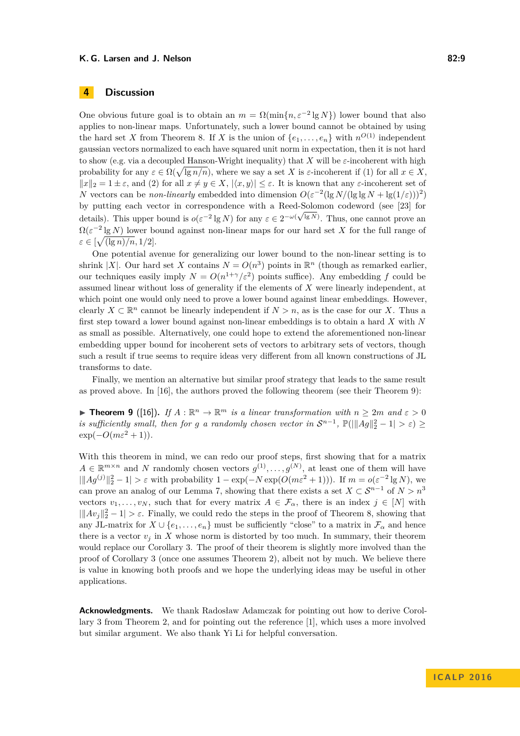# **4 Discussion**

One obvious future goal is to obtain an  $m = \Omega(\min\{n, \varepsilon^{-2} \lg N\})$  lower bound that also applies to non-linear maps. Unfortunately, such a lower bound cannot be obtained by using the hard set *X* from Theorem [8.](#page-6-2) If *X* is the union of  $\{e_1, \ldots, e_n\}$  with  $n^{O(1)}$  independent gaussian vectors normalized to each have squared unit norm in expectation, then it is not hard to show (e.g. via a decoupled Hanson-Wright inequality) that *X* will be *ε*-incoherent with high probability for any  $\varepsilon \in \Omega(\sqrt{\lg n/n})$ , where we say a set *X* is  $\varepsilon$ -incoherent if (1) for all  $x \in X$ ,  $||x||_2 = 1 \pm \varepsilon$ , and (2) for all  $x \neq y \in X$ ,  $|\langle x, y \rangle| \leq \varepsilon$ . It is known that any  $\varepsilon$ -incoherent set of *N* vectors can be *non-linearly* embedded into dimension  $O(\varepsilon^{-2} (\lg N / (\lg \lg N + \lg(1/\varepsilon)))^2)$ by putting each vector in correspondence with a Reed-Solomon codeword (see [\[23\]](#page-10-4) for √ details). This upper bound is  $o(\varepsilon^{-2} \lg N)$  for any  $\varepsilon \in 2^{-\omega(\sqrt{\lg N})}$ . Thus, one cannot prove an  $\Omega(\varepsilon^{-2} \lg N)$  lower bound against non-linear maps for our hard set X for the full range of  $\varepsilon \in \left[\sqrt{\frac{\lg n}{n}}, 1/2\right].$ 

One potential avenue for generalizing our lower bound to the non-linear setting is to shrink |*X*|. Our hard set *X* contains  $N = O(n^3)$  points in  $\mathbb{R}^n$  (though as remarked earlier, our techniques easily imply  $N = O(n^{1+\gamma}/\varepsilon^2)$  points suffice). Any embedding f could be assumed linear without loss of generality if the elements of *X* were linearly independent, at which point one would only need to prove a lower bound against linear embeddings. However, clearly  $X \subset \mathbb{R}^n$  cannot be linearly independent if  $N > n$ , as is the case for our *X*. Thus a first step toward a lower bound against non-linear embeddings is to obtain a hard *X* with *N* as small as possible. Alternatively, one could hope to extend the aforementioned non-linear embedding upper bound for incoherent sets of vectors to arbitrary sets of vectors, though such a result if true seems to require ideas very different from all known constructions of JL transforms to date.

Finally, we mention an alternative but similar proof strategy that leads to the same result as proved above. In [\[16\]](#page-9-11), the authors proved the following theorem (see their Theorem 9):

**Find 1 Propert 1 9** ([\[16\]](#page-9-11)). *If*  $A : \mathbb{R}^n \to \mathbb{R}^m$  *is a linear transformation with*  $n \geq 2m$  *and*  $\varepsilon > 0$ *is sufficiently small, then for g a randomly chosen vector in*  $S^{n-1}$ ,  $\mathbb{P}(||Ag||_2^2 - 1| > \varepsilon) \geq$  $\exp(-O(m\varepsilon^2+1)).$ 

With this theorem in mind, we can redo our proof steps, first showing that for a matrix  $A \in \mathbb{R}^{m \times n}$  and *N* randomly chosen vectors  $g^{(1)}, \ldots, g^{(N)}$ , at least one of them will have  $\|A g^{(j)}\|_2^2 - 1$  >  $\varepsilon$  with probability  $1 - \exp(-N \exp(O(m\varepsilon^2 + 1)))$ . If  $m = o(\varepsilon^{-2} \lg N)$ , we can prove an analog of our Lemma [7,](#page-6-1) showing that there exists a set  $X \subset \mathcal{S}^{n-1}$  of  $N > n^3$ vectors  $v_1, \ldots, v_N$ , such that for every matrix  $A \in \mathcal{F}_{\alpha}$ , there is an index  $j \in [N]$  with  $\|\hat{A}v_j\|_2^2 - 1 > \varepsilon$ . Finally, we could redo the steps in the proof of Theorem [8,](#page-6-2) showing that any JL-matrix for  $X \cup \{e_1, \ldots, e_n\}$  must be sufficiently "close" to a matrix in  $\mathcal{F}_{\alpha}$  and hence there is a vector  $v_i$  in X whose norm is distorted by too much. In summary, their theorem would replace our Corollary [3.](#page-4-3) The proof of their theorem is slightly more involved than the proof of Corollary [3](#page-4-3) (once one assumes Theorem [2\)](#page-4-2), albeit not by much. We believe there is value in knowing both proofs and we hope the underlying ideas may be useful in other applications.

**Acknowledgments.** We thank Radosław Adamczak for pointing out how to derive Corollary [3](#page-4-3) from Theorem [2,](#page-4-2) and for pointing out the reference [\[1\]](#page-9-19), which uses a more involved but similar argument. We also thank Yi Li for helpful conversation.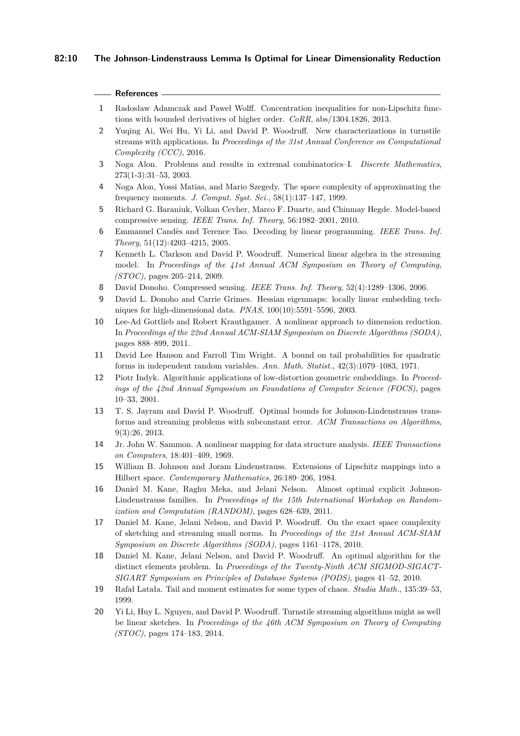### **References**

- <span id="page-9-19"></span>**1** Radosław Adamczak and Paweł Wolff. Concentration inequalities for non-Lipschitz functions with bounded derivatives of higher order. *CoRR*, abs/1304.1826, 2013.
- <span id="page-9-14"></span>**2** Yuqing Ai, Wei Hu, Yi Li, and David P. Woodruff. New characterizations in turnstile streams with applications. In *Proceedings of the 31st Annual Conference on Computational Complexity (CCC)*, 2016.
- <span id="page-9-6"></span>**3** Noga Alon. Problems and results in extremal combinatorics–I. *Discrete Mathematics*, 273(1-3):31–53, 2003.
- <span id="page-9-15"></span>**4** Noga Alon, Yossi Matias, and Mario Szegedy. The space complexity of approximating the frequency moments. *J. Comput. Syst. Sci.*, 58(1):137–147, 1999.
- <span id="page-9-5"></span>**5** Richard G. Baraniuk, Volkan Cevher, Marco F. Duarte, and Chinmay Hegde. Model-based compressive sensing. *IEEE Trans. Inf. Theory*, 56:1982–2001, 2010.
- <span id="page-9-4"></span>**6** Emmanuel Candès and Terence Tao. Decoding by linear programming. *IEEE Trans. Inf. Theory*, 51(12):4203–4215, 2005.
- <span id="page-9-2"></span>**7** Kenneth L. Clarkson and David P. Woodruff. Numerical linear algebra in the streaming model. In *Proceedings of the 41st Annual ACM Symposium on Theory of Computing, (STOC)*, pages 205–214, 2009.
- <span id="page-9-3"></span>**8** David Donoho. Compressed sensing. *IEEE Trans. Inf. Theory*, 52(4):1289–1306, 2006.
- <span id="page-9-8"></span>**9** David L. Donoho and Carrie Grimes. Hessian eigenmaps: locally linear embedding techniques for high-dimensional data. *PNAS*, 100(10):5591–5596, 2003.
- <span id="page-9-9"></span>**10** Lee-Ad Gottlieb and Robert Krauthgamer. A nonlinear approach to dimension reduction. In *Proceedings of the 22nd Annual ACM-SIAM Symposium on Discrete Algorithms (SODA)*, pages 888–899, 2011.
- <span id="page-9-18"></span>**11** David Lee Hanson and Farroll Tim Wright. A bound on tail probabilities for quadratic forms in independent random variables. *Ann. Math. Statist.*, 42(3):1079–1083, 1971.
- <span id="page-9-1"></span>**12** Piotr Indyk. Algorithmic applications of low-distortion geometric embeddings. In *Proceedings of the 42nd Annual Symposium on Foundations of Computer Science (FOCS)*, pages 10–33, 2001.
- <span id="page-9-10"></span>**13** T. S. Jayram and David P. Woodruff. Optimal bounds for Johnson-Lindenstrauss transforms and streaming problems with subconstant error. *ACM Transactions on Algorithms*, 9(3):26, 2013.
- <span id="page-9-7"></span>**14** Jr. John W. Sammon. A nonlinear mapping for data structure analysis. *IEEE Transactions on Computers*, 18:401–409, 1969.
- <span id="page-9-0"></span>**15** William B. Johnson and Joram Lindenstrauss. Extensions of Lipschitz mappings into a Hilbert space. *Contemporary Mathematics*, 26:189–206, 1984.
- <span id="page-9-11"></span>**16** Daniel M. Kane, Raghu Meka, and Jelani Nelson. Almost optimal explicit Johnson-Lindenstrauss families. In *Proceedings of the 15th International Workshop on Randomization and Computation (RANDOM)*, pages 628–639, 2011.
- <span id="page-9-16"></span>**17** Daniel M. Kane, Jelani Nelson, and David P. Woodruff. On the exact space complexity of sketching and streaming small norms. In *Proceedings of the 21st Annual ACM-SIAM Symposium on Discrete Algorithms (SODA)*, pages 1161–1178, 2010.
- <span id="page-9-12"></span>**18** Daniel M. Kane, Jelani Nelson, and David P. Woodruff. An optimal algorithm for the distinct elements problem. In *Proceedings of the Twenty-Ninth ACM SIGMOD-SIGACT-SIGART Symposium on Principles of Database Systems (PODS)*, pages 41–52, 2010.
- <span id="page-9-17"></span>**19** Rafał Latała. Tail and moment estimates for some types of chaos. *Studia Math.*, 135:39–53, 1999.
- <span id="page-9-13"></span>**20** Yi Li, Huy L. Nguyen, and David P. Woodruff. Turnstile streaming algorithms might as well be linear sketches. In *Proceedings of the 46th ACM Symposium on Theory of Computing (STOC)*, pages 174–183, 2014.